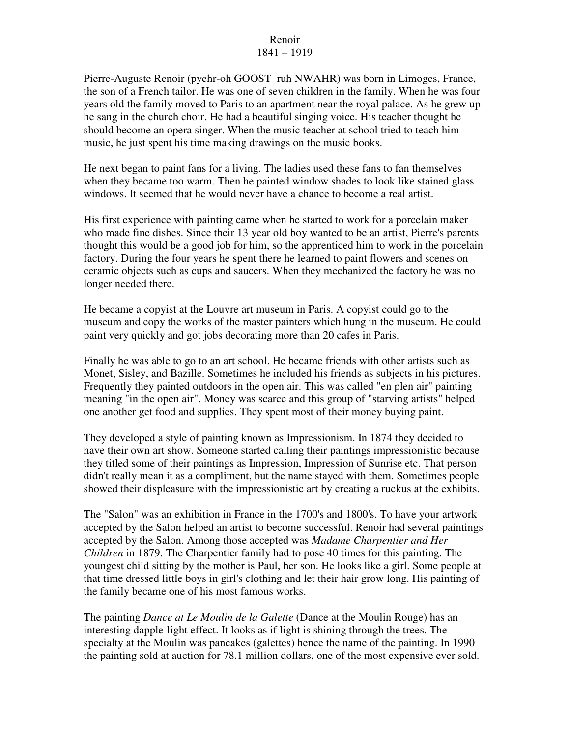## Renoir 1841 – 1919

Pierre-Auguste Renoir (pyehr-oh GOOST ruh NWAHR) was born in Limoges, France, the son of a French tailor. He was one of seven children in the family. When he was four years old the family moved to Paris to an apartment near the royal palace. As he grew up he sang in the church choir. He had a beautiful singing voice. His teacher thought he should become an opera singer. When the music teacher at school tried to teach him music, he just spent his time making drawings on the music books.

He next began to paint fans for a living. The ladies used these fans to fan themselves when they became too warm. Then he painted window shades to look like stained glass windows. It seemed that he would never have a chance to become a real artist.

His first experience with painting came when he started to work for a porcelain maker who made fine dishes. Since their 13 year old boy wanted to be an artist, Pierre's parents thought this would be a good job for him, so the apprenticed him to work in the porcelain factory. During the four years he spent there he learned to paint flowers and scenes on ceramic objects such as cups and saucers. When they mechanized the factory he was no longer needed there.

He became a copyist at the Louvre art museum in Paris. A copyist could go to the museum and copy the works of the master painters which hung in the museum. He could paint very quickly and got jobs decorating more than 20 cafes in Paris.

Finally he was able to go to an art school. He became friends with other artists such as Monet, Sisley, and Bazille. Sometimes he included his friends as subjects in his pictures. Frequently they painted outdoors in the open air. This was called "en plen air" painting meaning "in the open air". Money was scarce and this group of "starving artists" helped one another get food and supplies. They spent most of their money buying paint.

They developed a style of painting known as Impressionism. In 1874 they decided to have their own art show. Someone started calling their paintings impressionistic because they titled some of their paintings as Impression, Impression of Sunrise etc. That person didn't really mean it as a compliment, but the name stayed with them. Sometimes people showed their displeasure with the impressionistic art by creating a ruckus at the exhibits.

The "Salon" was an exhibition in France in the 1700's and 1800's. To have your artwork accepted by the Salon helped an artist to become successful. Renoir had several paintings accepted by the Salon. Among those accepted was *Madame Charpentier and Her Children* in 1879. The Charpentier family had to pose 40 times for this painting. The youngest child sitting by the mother is Paul, her son. He looks like a girl. Some people at that time dressed little boys in girl's clothing and let their hair grow long. His painting of the family became one of his most famous works.

The painting *Dance at Le Moulin de la Galette* (Dance at the Moulin Rouge) has an interesting dapple-light effect. It looks as if light is shining through the trees. The specialty at the Moulin was pancakes (galettes) hence the name of the painting. In 1990 the painting sold at auction for 78.1 million dollars, one of the most expensive ever sold.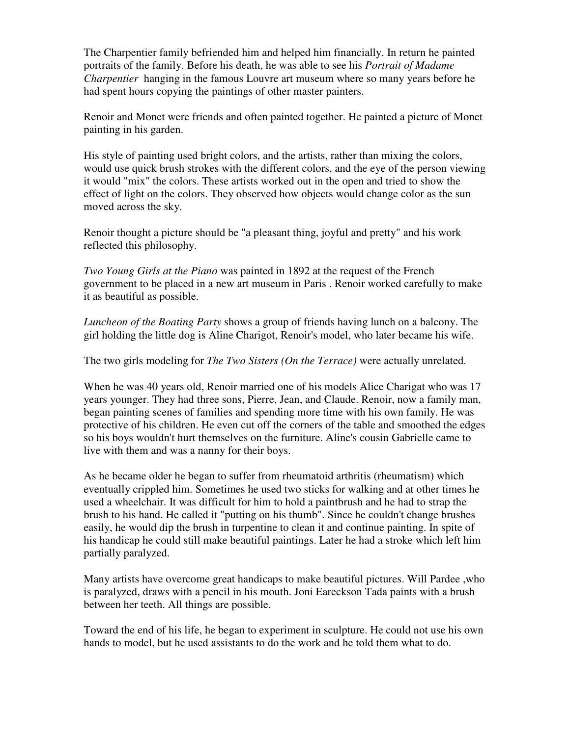The Charpentier family befriended him and helped him financially. In return he painted portraits of the family. Before his death, he was able to see his *Portrait of Madame Charpentier* hanging in the famous Louvre art museum where so many years before he had spent hours copying the paintings of other master painters.

Renoir and Monet were friends and often painted together. He painted a picture of Monet painting in his garden.

His style of painting used bright colors, and the artists, rather than mixing the colors, would use quick brush strokes with the different colors, and the eye of the person viewing it would "mix" the colors. These artists worked out in the open and tried to show the effect of light on the colors. They observed how objects would change color as the sun moved across the sky.

Renoir thought a picture should be "a pleasant thing, joyful and pretty" and his work reflected this philosophy.

*Two Young Girls at the Piano* was painted in 1892 at the request of the French government to be placed in a new art museum in Paris . Renoir worked carefully to make it as beautiful as possible.

*Luncheon of the Boating Party* shows a group of friends having lunch on a balcony. The girl holding the little dog is Aline Charigot, Renoir's model, who later became his wife.

The two girls modeling for *The Two Sisters (On the Terrace)* were actually unrelated.

When he was 40 years old, Renoir married one of his models Alice Charigat who was 17 years younger. They had three sons, Pierre, Jean, and Claude. Renoir, now a family man, began painting scenes of families and spending more time with his own family. He was protective of his children. He even cut off the corners of the table and smoothed the edges so his boys wouldn't hurt themselves on the furniture. Aline's cousin Gabrielle came to live with them and was a nanny for their boys.

As he became older he began to suffer from rheumatoid arthritis (rheumatism) which eventually crippled him. Sometimes he used two sticks for walking and at other times he used a wheelchair. It was difficult for him to hold a paintbrush and he had to strap the brush to his hand. He called it "putting on his thumb". Since he couldn't change brushes easily, he would dip the brush in turpentine to clean it and continue painting. In spite of his handicap he could still make beautiful paintings. Later he had a stroke which left him partially paralyzed.

Many artists have overcome great handicaps to make beautiful pictures. Will Pardee ,who is paralyzed, draws with a pencil in his mouth. Joni Eareckson Tada paints with a brush between her teeth. All things are possible.

Toward the end of his life, he began to experiment in sculpture. He could not use his own hands to model, but he used assistants to do the work and he told them what to do.